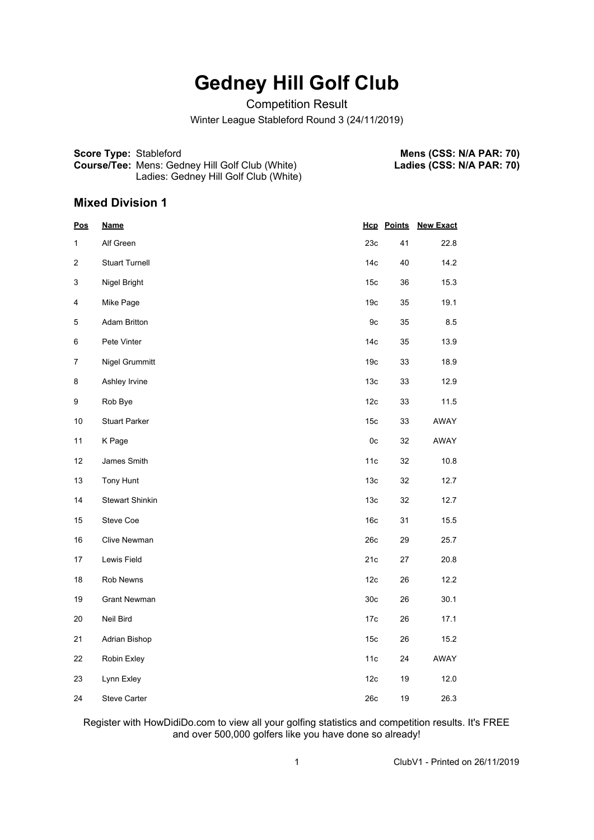## **Gedney Hill Golf Club**

Competition Result

Winter League Stableford Round 3 (24/11/2019)

**Score Type:** Stableford **Course/Tee:** Mens: Gedney Hill Golf Club (White) Ladies: Gedney Hill Golf Club (White)

**Mens (CSS: N/A PAR: 70) Ladies (CSS: N/A PAR: 70)**

## **Mixed Division 1**

| <u>Pos</u>     | <u>Name</u>           |                 | <b>Hcp</b> Points | <b>New Exact</b> |
|----------------|-----------------------|-----------------|-------------------|------------------|
| 1              | Alf Green             | 23c             | 41                | 22.8             |
| 2              | <b>Stuart Turnell</b> | 14 <sub>c</sub> | 40                | 14.2             |
| 3              | Nigel Bright          | 15c             | 36                | 15.3             |
| 4              | Mike Page             | 19 <sub>c</sub> | 35                | 19.1             |
| $\mathbf 5$    | <b>Adam Britton</b>   | 9c              | 35                | 8.5              |
| 6              | Pete Vinter           | 14 <sub>c</sub> | 35                | 13.9             |
| $\overline{7}$ | Nigel Grummitt        | 19 <sub>c</sub> | 33                | 18.9             |
| 8              | Ashley Irvine         | 13 <sub>c</sub> | 33                | 12.9             |
| 9              | Rob Bye               | 12c             | 33                | 11.5             |
| $10$           | <b>Stuart Parker</b>  | 15 <sub>c</sub> | 33                | AWAY             |
| 11             | K Page                | 0c              | 32                | AWAY             |
| 12             | James Smith           | 11c             | 32                | 10.8             |
| 13             | Tony Hunt             | 13c             | 32                | 12.7             |
| 14             | Stewart Shinkin       | 13 <sub>c</sub> | 32                | 12.7             |
| 15             | Steve Coe             | 16c             | 31                | 15.5             |
| 16             | Clive Newman          | 26c             | 29                | 25.7             |
| 17             | Lewis Field           | 21c             | 27                | 20.8             |
| 18             | Rob Newns             | 12c             | 26                | 12.2             |
| 19             | <b>Grant Newman</b>   | 30 <sub>c</sub> | 26                | 30.1             |
| $20\,$         | Neil Bird             | 17c             | 26                | 17.1             |
| 21             | Adrian Bishop         | 15 <sub>c</sub> | 26                | 15.2             |
| 22             | Robin Exley           | 11c             | 24                | AWAY             |
| 23             | Lynn Exley            | 12c             | 19                | 12.0             |
| 24             | <b>Steve Carter</b>   | 26c             | 19                | 26.3             |

Register with HowDidiDo.com to view all your golfing statistics and competition results. It's FREE and over 500,000 golfers like you have done so already!